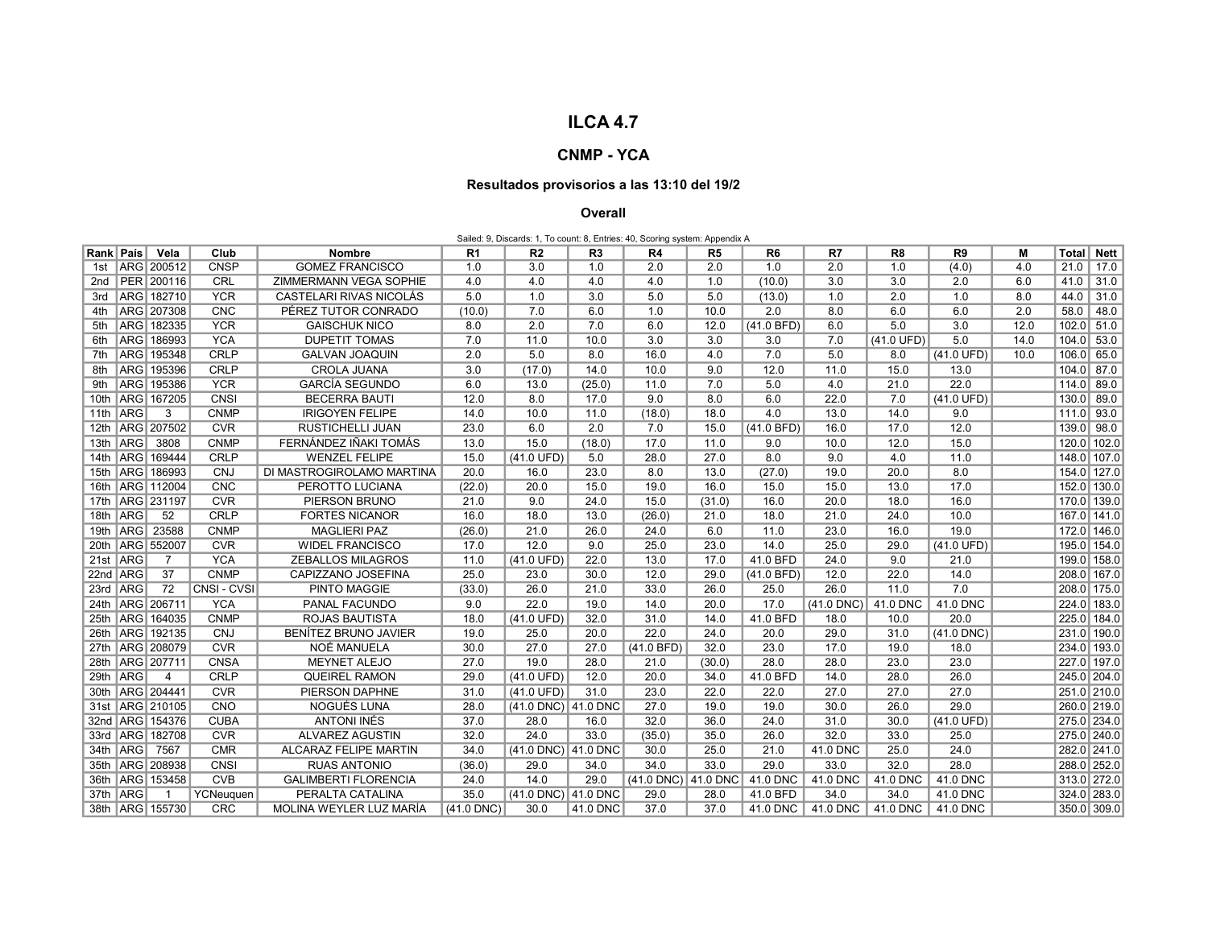## ILCA 4.7

## CNMP - YCA

## Resultados provisorios a las 13:10 del 19/2

## Overall

| Sailed: 9, Discards: 1, To count: 8, Entries: 40, Scoring system: Appendix A |             |                     |             |                              |              |                      |                |                     |                |                |              |                      |                      |      |             |             |
|------------------------------------------------------------------------------|-------------|---------------------|-------------|------------------------------|--------------|----------------------|----------------|---------------------|----------------|----------------|--------------|----------------------|----------------------|------|-------------|-------------|
| Rank   País                                                                  |             | Vela                | Club        | <b>Nombre</b>                | R1           | R2                   | R <sub>3</sub> | R4                  | R <sub>5</sub> | R <sub>6</sub> | R7           | R8                   | R <sub>9</sub>       | M    | Total       | <b>Nett</b> |
| 1st                                                                          |             | ARG 200512          | <b>CNSP</b> | <b>GOMEZ FRANCISCO</b>       | 1.0          | 3.0                  | 1.0            | 2.0                 | 2.0            | 1.0            | 2.0          | 1.0                  | (4.0)                | 4.0  | 21.0        | 17.0        |
|                                                                              |             | 2nd   PER   200116  | CRL         | ZIMMERMANN VEGA SOPHIE       | 4.0          | 4.0                  | 4.0            | 4.0                 | 1.0            | (10.0)         | 3.0          | 3.0                  | 2.0                  | 6.0  | 41.0        | 31.0        |
| 3rd                                                                          |             | ARG 182710          | <b>YCR</b>  | CASTELARI RIVAS NICOLÁS      | 5.0          | 1.0                  | 3.0            | 5.0                 | 5.0            | (13.0)         | 1.0          | 2.0                  | 1.0                  | 8.0  | 44.0        | 31.0        |
| 4th                                                                          |             | ARG 207308          | <b>CNC</b>  | PÉREZ TUTOR CONRADO          | (10.0)       | 7.0                  | 6.0            | 1.0                 | 10.0           | 2.0            | 8.0          | 6.0                  | 6.0                  | 2.0  | 58.0        | 48.0        |
|                                                                              |             | 5th   ARG   182335  | <b>YCR</b>  | <b>GAISCHUK NICO</b>         | 8.0          | 2.0                  | 7.0            | 6.0                 | 12.0           | (41.0 BFD)     | 6.0          | 5.0                  | 3.0                  | 12.0 | 102.0       | 51.0        |
|                                                                              |             | 6th   ARG   186993  | <b>YCA</b>  | <b>DUPETIT TOMAS</b>         | 7.0          | 11.0                 | 10.0           | 3.0                 | 3.0            | 3.0            | 7.0          | $(41.0 \text{ UFD})$ | 5.0                  | 14.0 | 104.0       | 53.0        |
| 7th                                                                          | <b>ARG</b>  | 195348              | <b>CRLP</b> | <b>GALVAN JOAQUIN</b>        | 2.0          | 5.0                  | 8.0            | 16.0                | 4.0            | 7.0            | 5.0          | 8.0                  | (41.0 UFD)           | 10.0 | 106.0       | 65.0        |
| 8th                                                                          | ARG         | 195396              | <b>CRLP</b> | <b>CROLA JUANA</b>           | 3.0          | (17.0)               | 14.0           | 10.0                | 9.0            | 12.0           | 11.0         | 15.0                 | 13.0                 |      | 104.0 87.0  |             |
|                                                                              | 9th ARG     | 195386              | <b>YCR</b>  | <b>GARCÍA SEGUNDO</b>        | 6.0          | 13.0                 | (25.0)         | 11.0                | 7.0            | 5.0            | 4.0          | 21.0                 | 22.0                 |      | 114.0       | 89.0        |
|                                                                              |             | 10th   ARG   167205 | CNSI        | <b>BECERRA BAUTI</b>         | 12.0         | 8.0                  | 17.0           | 9.0                 | 8.0            | 6.0            | 22.0         | 7.0                  | $(41.0 \text{ UFD})$ |      | 130.0       | 89.0        |
|                                                                              | 11th $ ARG$ | 3                   | <b>CNMP</b> | <b>IRIGOYEN FELIPE</b>       | 14.0         | 10.0                 | 11.0           | (18.0)              | 18.0           | 4.0            | 13.0         | 14.0                 | 9.0                  |      | 111.0 93.0  |             |
|                                                                              |             | 12th   ARG   207502 | <b>CVR</b>  | <b>RUSTICHELLI JUAN</b>      | 23.0         | 6.0                  | 2.0            | 7.0                 | 15.0           | $(41.0$ BFD)   | 16.0         | 17.0                 | 12.0                 |      | 139.0 98.0  |             |
|                                                                              | 13th ARG    | 3808                | <b>CNMP</b> | FERNÁNDEZ IÑAKI TOMÁS        | 13.0         | 15.0                 | (18.0)         | 17.0                | 11.0           | 9.0            | 10.0         | 12.0                 | 15.0                 |      | 120.0 102.0 |             |
|                                                                              | 14th ARG    | 169444              | <b>CRLP</b> | <b>WENZEL FELIPE</b>         | 15.0         | (41.0 UFD)           | 5.0            | 28.0                | 27.0           | 8.0            | 9.0          | 4.0                  | 11.0                 |      | 148.0 107.0 |             |
|                                                                              | 15th ARG    | 186993              | <b>CNJ</b>  | DI MASTROGIROLAMO MARTINA    | 20.0         | 16.0                 | 23.0           | 8.0                 | 13.0           | (27.0)         | 19.0         | 20.0                 | 8.0                  |      | 154.0 127.0 |             |
|                                                                              |             | 16th   ARG   112004 | <b>CNC</b>  | PEROTTO LUCIANA              | (22.0)       | 20.0                 | 15.0           | 19.0                | 16.0           | 15.0           | 15.0         | 13.0                 | 17.0                 |      | 152.0 130.0 |             |
|                                                                              |             | 17th   ARG   231197 | <b>CVR</b>  | PIERSON BRUNO                | 21.0         | 9.0                  | 24.0           | 15.0                | (31.0)         | 16.0           | 20.0         | 18.0                 | 16.0                 |      | 170.0 139.0 |             |
|                                                                              | 18th ARG    | 52                  | <b>CRLP</b> | <b>FORTES NICANOR</b>        | 16.0         | 18.0                 | 13.0           | (26.0)              | 21.0           | 18.0           | 21.0         | 24.0                 | 10.0                 |      | 167.0 141.0 |             |
|                                                                              | 19th ARG    | 23588               | <b>CNMP</b> | <b>MAGLIERI PAZ</b>          | (26.0)       | 21.0                 | 26.0           | 24.0                | 6.0            | 11.0           | 23.0         | 16.0                 | 19.0                 |      | 172.0 146.0 |             |
|                                                                              | 20th ARG    | 552007              | <b>CVR</b>  | <b>WIDEL FRANCISCO</b>       | 17.0         | 12.0                 | 9.0            | 25.0                | 23.0           | 14.0           | 25.0         | 29.0                 | $(41.0 \text{ UFD})$ |      | 195.0 154.0 |             |
|                                                                              | 21st ARG    | $\overline{7}$      | <b>YCA</b>  | <b>ZEBALLOS MILAGROS</b>     | 11.0         | $(41.0 \text{ UFD})$ | 22.0           | 13.0                | 17.0           | 41.0 BFD       | 24.0         | 9.0                  | 21.0                 |      | 199.0 158.0 |             |
|                                                                              | 22nd ARG    | 37                  | CNMP        | CAPIZZANO JOSEFINA           | 25.0         | 23.0                 | 30.0           | 12.0                | 29.0           | (41.0 BFD)     | 12.0         | 22.0                 | 14.0                 |      | 208.0 167.0 |             |
|                                                                              | 23rd ARG    | 72                  | CNSI-CVSI   | PINTO MAGGIE                 | (33.0)       | 26.0                 | 21.0           | 33.0                | 26.0           | 25.0           | 26.0         | 11.0                 | 7.0                  |      | 208.0 175.0 |             |
|                                                                              |             | 24th ARG 206711     | <b>YCA</b>  | PANAL FACUNDO                | 9.0          | 22.0                 | 19.0           | 14.0                | 20.0           | 17.0           | $(41.0$ DNC) | 41.0 DNC             | 41.0 DNC             |      | 224.0 183.0 |             |
|                                                                              | 25th ARG    | 164035              | <b>CNMP</b> | ROJAS BAUTISTA               | 18.0         | $(41.0 \text{ UFD})$ | 32.0           | 31.0                | 14.0           | 41.0 BFD       | 18.0         | 10.0                 | 20.0                 |      | 225.0 184.0 |             |
|                                                                              |             | 26th   ARG   192135 | <b>CNJ</b>  | BENÍTEZ BRUNO JAVIER         | 19.0         | 25.0                 | 20.0           | 22.0                | 24.0           | 20.0           | 29.0         | 31.0                 | $(41.0$ DNC)         |      | 231.0 190.0 |             |
|                                                                              |             | 27th ARG 208079     | <b>CVR</b>  | NOÉ MANUELA                  | 30.0         | 27.0                 | 27.0           | (41.0 BFD)          | 32.0           | 23.0           | 17.0         | 19.0                 | 18.0                 |      | 234.0 193.0 |             |
|                                                                              |             | 28th   ARG   207711 | <b>CNSA</b> | <b>MEYNET ALEJO</b>          | 27.0         | 19.0                 | 28.0           | 21.0                | (30.0)         | 28.0           | 28.0         | 23.0                 | 23.0                 |      | 227.0 197.0 |             |
|                                                                              | 29th ARG    | 4                   | <b>CRLP</b> | QUEIREL RAMON                | 29.0         | $(41.0 \text{ UFD})$ | 12.0           | 20.0                | 34.0           | 41.0 BFD       | 14.0         | 28.0                 | 26.0                 |      | 245.0 204.0 |             |
|                                                                              |             | 30th ARG 204441     | <b>CVR</b>  | PIERSON DAPHNE               | 31.0         | $(41.0 \text{ UFD})$ | 31.0           | 23.0                | 22.0           | 22.0           | 27.0         | 27.0                 | 27.0                 |      | 251.0 210.0 |             |
|                                                                              |             | 31st   ARG   210105 | CNO         | <b>NOGUÉS LUNA</b>           | 28.0         | (41.0 DNC) 41.0 DNC  |                | 27.0                | 19.0           | 19.0           | 30.0         | 26.0                 | 29.0                 |      | 260.0 219.0 |             |
|                                                                              |             | 32nd ARG 154376     | <b>CUBA</b> | <b>ANTONI INÉS</b>           | 37.0         | 28.0                 | 16.0           | 32.0                | 36.0           | 24.0           | 31.0         | 30.0                 | $(41.0 \text{ UFD})$ |      | 275.0 234.0 |             |
|                                                                              |             | 33rd   ARG   182708 | <b>CVR</b>  | <b>ALVAREZ AGUSTIN</b>       | 32.0         | 24.0                 | 33.0           | (35.0)              | 35.0           | 26.0           | 32.0         | 33.0                 | 25.0                 |      | 275.0 240.0 |             |
|                                                                              | 34th ARG    | 7567                | <b>CMR</b>  | <b>ALCARAZ FELIPE MARTIN</b> | 34.0         | (41.0 DNC) 41.0 DNC  |                | 30.0                | 25.0           | 21.0           | 41.0 DNC     | 25.0                 | 24.0                 |      | 282.0 241.0 |             |
|                                                                              |             | 35th ARG 208938     | CNSI        | <b>RUAS ANTONIO</b>          | (36.0)       | 29.0                 | 34.0           | 34.0                | 33.0           | 29.0           | 33.0         | 32.0                 | 28.0                 |      | 288.0 252.0 |             |
|                                                                              | 36th ARG    | 153458              | <b>CVB</b>  | <b>GALIMBERTI FLORENCIA</b>  | 24.0         | 14.0                 | 29.0           | (41.0 DNC) 41.0 DNC |                | 41.0 DNC       | 41.0 DNC     | 41.0 DNC             | 41.0 DNC             |      | 313.0 272.0 |             |
|                                                                              | 37th ARG    | -1                  | YCNeuguen   | PERALTA CATALINA             | 35.0         | (41.0 DNC) 41.0 DNC  |                | 29.0                | 28.0           | 41.0 BFD       | 34.0         | 34.0                 | 41.0 DNC             |      | 324.0 283.0 |             |
|                                                                              |             | 38th   ARG   155730 | <b>CRC</b>  | MOLINA WEYLER LUZ MARÍA      | $(41.0$ DNC) | 30.0                 | 41.0 DNC       | 37.0                | 37.0           | 41.0 DNC       | 41.0 DNC     | 41.0 DNC             | 41.0 DNC             |      | 350.0 309.0 |             |